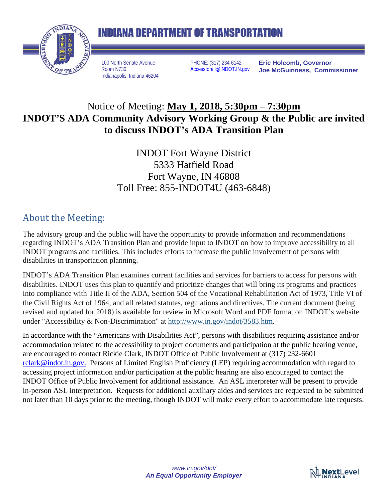

## **INDIANA DEPARTMENT OF TRANSPORTATION**

100 North Senate Avenue Room N730 Indianapolis, Indiana 46204 PHONE: (317) 234-6142 [Accessforall@INDOT.IN.gov](mailto:Accessforall@INDOT.IN.gov) **Eric Holcomb, Governor Joe McGuinness, Commissioner**

## Notice of Meeting: **May 1, 2018, 5:30pm – 7:30pm INDOT'S ADA Community Advisory Working Group & the Public are invited to discuss INDOT's ADA Transition Plan**

INDOT Fort Wayne District 5333 Hatfield Road Fort Wayne, IN 46808 Toll Free: 855-INDOT4U (463-6848)

## About the Meeting:

The advisory group and the public will have the opportunity to provide information and recommendations regarding INDOT's ADA Transition Plan and provide input to INDOT on how to improve accessibility to all INDOT programs and facilities. This includes efforts to increase the public involvement of persons with disabilities in transportation planning.

INDOT's ADA Transition Plan examines current facilities and services for barriers to access for persons with disabilities. INDOT uses this plan to quantify and prioritize changes that will bring its programs and practices into compliance with Title II of the ADA, Section 504 of the Vocational Rehabilitation Act of 1973, Title VI of the Civil Rights Act of 1964, and all related statutes, regulations and directives. The current document (being revised and updated for 2018) is available for review in Microsoft Word and PDF format on INDOT's website under "Accessibility & Non-Discrimination" at [http://www.in.gov/indot/3583.htm.](http://links.govdelivery.com/track?type=click&enid=ZWFzPTEmbXNpZD0mYXVpZD0mbWFpbGluZ2lkPTIwMTcxMTI3LjgxNDgzNjgxJm1lc3NhZ2VpZD1NREItUFJELUJVTC0yMDE3MTEyNy44MTQ4MzY4MSZkYXRhYmFzZWlkPTEwMDEmc2VyaWFsPTE4MTU3MTU0JmVtYWlsaWQ9cmNsYXJrQGluZG90LmluLmdvdiZ1c2VyaWQ9cmNsYXJrQGluZG90LmluLmdvdiZ0YXJnZXRpZD0mZmw9JmV4dHJhPU11bHRpdmFyaWF0ZUlkPSYmJg==&&&101&&&http://www.in.gov/indot/3583.htm)

In accordance with the "Americans with Disabilities Act", persons with disabilities requiring assistance and/or accommodation related to the accessibility to project documents and participation at the public hearing venue, are encouraged to contact Rickie Clark, INDOT Office of Public Involvement at (317) 232-6601 [rclark@indot.in.gov.](mailto:rclark@indot.in.gov) Persons of Limited English Proficiency (LEP) requiring accommodation with regard to accessing project information and/or participation at the public hearing are also encouraged to contact the INDOT Office of Public Involvement for additional assistance. An ASL interpreter will be present to provide in-person ASL interpretation. Requests for additional auxiliary aides and services are requested to be submitted not later than 10 days prior to the meeting, though INDOT will make every effort to accommodate late requests.